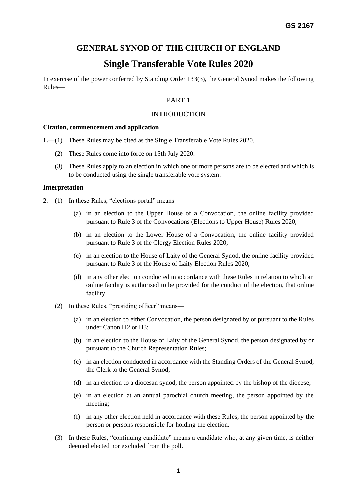# **GENERAL SYNOD OF THE CHURCH OF ENGLAND**

# **Single Transferable Vote Rules 2020**

In exercise of the power conferred by Standing Order 133(3), the General Synod makes the following Rules—

## PART 1

## INTRODUCTION

#### **Citation, commencement and application**

- **1.**—(1) These Rules may be cited as the Single Transferable Vote Rules 2020.
	- (2) These Rules come into force on 15th July 2020.
	- (3) These Rules apply to an election in which one or more persons are to be elected and which is to be conducted using the single transferable vote system.

#### **Interpretation**

**2.**—(1) In these Rules, "elections portal" means—

- (a) in an election to the Upper House of a Convocation, the online facility provided pursuant to Rule 3 of the Convocations (Elections to Upper House) Rules 2020;
- (b) in an election to the Lower House of a Convocation, the online facility provided pursuant to Rule 3 of the Clergy Election Rules 2020;
- (c) in an election to the House of Laity of the General Synod, the online facility provided pursuant to Rule 3 of the House of Laity Election Rules 2020;
- (d) in any other election conducted in accordance with these Rules in relation to which an online facility is authorised to be provided for the conduct of the election, that online facility.
- (2) In these Rules, "presiding officer" means—
	- (a) in an election to either Convocation, the person designated by or pursuant to the Rules under Canon H2 or H3;
	- (b) in an election to the House of Laity of the General Synod, the person designated by or pursuant to the Church Representation Rules;
	- (c) in an election conducted in accordance with the Standing Orders of the General Synod, the Clerk to the General Synod;
	- (d) in an election to a diocesan synod, the person appointed by the bishop of the diocese;
	- (e) in an election at an annual parochial church meeting, the person appointed by the meeting;
	- (f) in any other election held in accordance with these Rules, the person appointed by the person or persons responsible for holding the election.
- (3) In these Rules, "continuing candidate" means a candidate who, at any given time, is neither deemed elected nor excluded from the poll.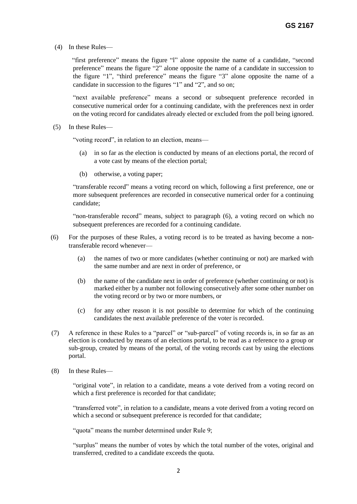(4) In these Rules—

 "first preference" means the figure "l" alone opposite the name of a candidate, "second preference" means the figure "2" alone opposite the name of a candidate in succession to the figure "1", "third preference" means the figure "3" alone opposite the name of a candidate in succession to the figures "1" and "2", and so on;

"next available preference" means a second or subsequent preference recorded in consecutive numerical order for a continuing candidate, with the preferences next in order on the voting record for candidates already elected or excluded from the poll being ignored.

(5) In these Rules—

"voting record", in relation to an election, means—

- (a) in so far as the election is conducted by means of an elections portal, the record of a vote cast by means of the election portal;
- (b) otherwise, a voting paper;

"transferable record" means a voting record on which, following a first preference, one or more subsequent preferences are recorded in consecutive numerical order for a continuing candidate;

"non-transferable record" means, subject to paragraph (6), a voting record on which no subsequent preferences are recorded for a continuing candidate.

- (6) For the purposes of these Rules, a voting record is to be treated as having become a nontransferable record whenever—
	- (a) the names of two or more candidates (whether continuing or not) are marked with the same number and are next in order of preference, or
	- (b) the name of the candidate next in order of preference (whether continuing or not) is marked either by a number not following consecutively after some other number on the voting record or by two or more numbers, or
	- (c) for any other reason it is not possible to determine for which of the continuing candidates the next available preference of the voter is recorded.
- (7) A reference in these Rules to a "parcel" or "sub-parcel" of voting records is, in so far as an election is conducted by means of an elections portal, to be read as a reference to a group or sub-group, created by means of the portal, of the voting records cast by using the elections portal.
- (8) In these Rules—

"original vote", in relation to a candidate, means a vote derived from a voting record on which a first preference is recorded for that candidate;

"transferred vote", in relation to a candidate, means a vote derived from a voting record on which a second or subsequent preference is recorded for that candidate;

"quota" means the number determined under Rule 9;

"surplus" means the number of votes by which the total number of the votes, original and transferred, credited to a candidate exceeds the quota.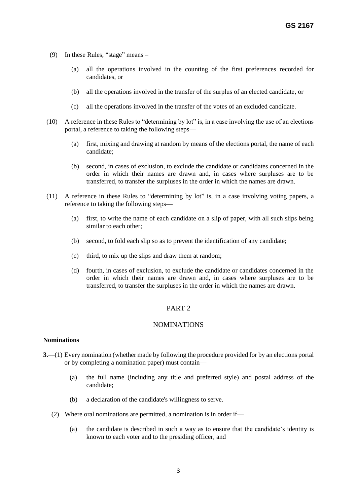- (9) In these Rules, "stage" means
	- (a) all the operations involved in the counting of the first preferences recorded for candidates, or
	- (b) all the operations involved in the transfer of the surplus of an elected candidate, or
	- (c) all the operations involved in the transfer of the votes of an excluded candidate.
- (10) A reference in these Rules to "determining by lot" is, in a case involving the use of an elections portal, a reference to taking the following steps—
	- (a) first, mixing and drawing at random by means of the elections portal, the name of each candidate;
	- (b) second, in cases of exclusion, to exclude the candidate or candidates concerned in the order in which their names are drawn and, in cases where surpluses are to be transferred, to transfer the surpluses in the order in which the names are drawn.
- (11) A reference in these Rules to "determining by lot" is, in a case involving voting papers, a reference to taking the following steps—
	- (a) first, to write the name of each candidate on a slip of paper, with all such slips being similar to each other;
	- (b) second, to fold each slip so as to prevent the identification of any candidate;
	- (c) third, to mix up the slips and draw them at random;
	- (d) fourth, in cases of exclusion, to exclude the candidate or candidates concerned in the order in which their names are drawn and, in cases where surpluses are to be transferred, to transfer the surpluses in the order in which the names are drawn.

## PART 2

## NOMINATIONS

### **Nominations**

- **3.**—(1) Every nomination (whether made by following the procedure provided for by an elections portal or by completing a nomination paper) must contain—
	- (a) the full name (including any title and preferred style) and postal address of the candidate;
	- (b) a declaration of the candidate's willingness to serve.
	- (2) Where oral nominations are permitted, a nomination is in order if—
		- (a) the candidate is described in such a way as to ensure that the candidate's identity is known to each voter and to the presiding officer, and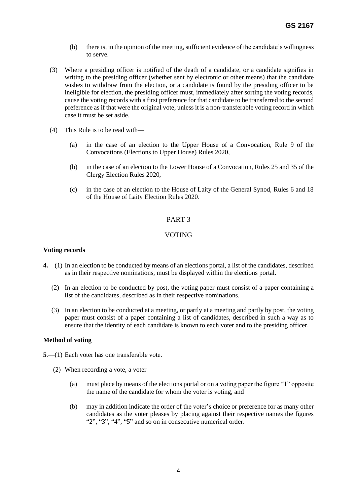- (b) there is, in the opinion of the meeting, sufficient evidence of the candidate's willingness to serve.
- (3) Where a presiding officer is notified of the death of a candidate, or a candidate signifies in writing to the presiding officer (whether sent by electronic or other means) that the candidate wishes to withdraw from the election, or a candidate is found by the presiding officer to be ineligible for election, the presiding officer must, immediately after sorting the voting records, cause the voting records with a first preference for that candidate to be transferred to the second preference as if that were the original vote, unless it is a non-transferable voting record in which case it must be set aside.
- (4) This Rule is to be read with—
	- (a) in the case of an election to the Upper House of a Convocation, Rule 9 of the Convocations (Elections to Upper House) Rules 2020,
	- (b) in the case of an election to the Lower House of a Convocation, Rules 25 and 35 of the Clergy Election Rules 2020,
	- (c) in the case of an election to the House of Laity of the General Synod, Rules 6 and 18 of the House of Laity Election Rules 2020.

## PART 3

## VOTING

#### **Voting records**

- **4.**—(1) In an election to be conducted by means of an elections portal, a list of the candidates, described as in their respective nominations, must be displayed within the elections portal.
	- (2) In an election to be conducted by post, the voting paper must consist of a paper containing a list of the candidates, described as in their respective nominations.
	- (3) In an election to be conducted at a meeting, or partly at a meeting and partly by post, the voting paper must consist of a paper containing a list of candidates, described in such a way as to ensure that the identity of each candidate is known to each voter and to the presiding officer.

#### **Method of voting**

- **5**.—(1) Each voter has one transferable vote.
	- (2) When recording a vote, a voter—
		- (a) must place by means of the elections portal or on a voting paper the figure "1" opposite the name of the candidate for whom the voter is voting, and
		- (b) may in addition indicate the order of the voter's choice or preference for as many other candidates as the voter pleases by placing against their respective names the figures "2", "3", "4", "5" and so on in consecutive numerical order.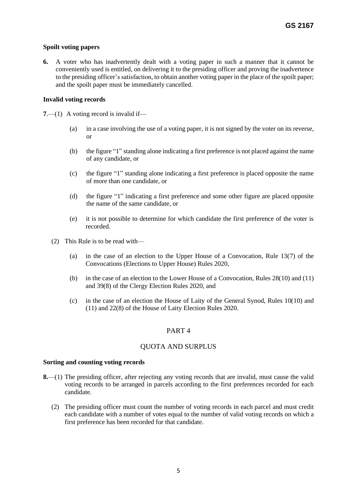## **Spoilt voting papers**

**6.** A voter who has inadvertently dealt with a voting paper in such a manner that it cannot be conveniently used is entitled, on delivering it to the presiding officer and proving the inadvertence to the presiding officer's satisfaction, to obtain another voting paper in the place of the spoilt paper; and the spoilt paper must be immediately cancelled.

## **Invalid voting records**

**7**.—(1) A voting record is invalid if—

- (a) in a case involving the use of a voting paper, it is not signed by the voter on its reverse, or
- (b) the figure "1" standing alone indicating a first preference is not placed against the name of any candidate, or
- (c) the figure "1" standing alone indicating a first preference is placed opposite the name of more than one candidate, or
- (d) the figure "1" indicating a first preference and some other figure are placed opposite the name of the same candidate, or
- (e) it is not possible to determine for which candidate the first preference of the voter is recorded.
- (2) This Rule is to be read with—
	- (a) in the case of an election to the Upper House of a Convocation, Rule 13(7) of the Convocations (Elections to Upper House) Rules 2020,
	- (b) in the case of an election to the Lower House of a Convocation, Rules 28(10) and (11) and 39(8) of the Clergy Election Rules 2020, and
	- (c) in the case of an election the House of Laity of the General Synod, Rules 10(10) and (11) and 22(8) of the House of Laity Election Rules 2020.

## PART 4

## QUOTA AND SURPLUS

### **Sorting and counting voting records**

- **8.**—(1) The presiding officer, after rejecting any voting records that are invalid, must cause the valid voting records to be arranged in parcels according to the first preferences recorded for each candidate.
	- (2) The presiding officer must count the number of voting records in each parcel and must credit each candidate with a number of votes equal to the number of valid voting records on which a first preference has been recorded for that candidate.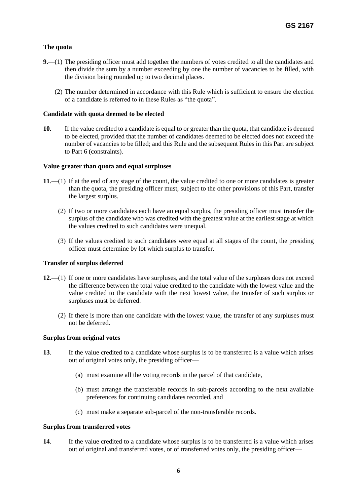## **The quota**

- **9.**—(1) The presiding officer must add together the numbers of votes credited to all the candidates and then divide the sum by a number exceeding by one the number of vacancies to be filled, with the division being rounded up to two decimal places.
	- (2) The number determined in accordance with this Rule which is sufficient to ensure the election of a candidate is referred to in these Rules as "the quota".

## **Candidate with quota deemed to be elected**

**10.** If the value credited to a candidate is equal to or greater than the quota, that candidate is deemed to be elected, provided that the number of candidates deemed to be elected does not exceed the number of vacancies to be filled; and this Rule and the subsequent Rules in this Part are subject to Part 6 (constraints).

## **Value greater than quota and equal surpluses**

- **11**.—(1) If at the end of any stage of the count, the value credited to one or more candidates is greater than the quota, the presiding officer must, subject to the other provisions of this Part, transfer the largest surplus.
	- (2) If two or more candidates each have an equal surplus, the presiding officer must transfer the surplus of the candidate who was credited with the greatest value at the earliest stage at which the values credited to such candidates were unequal.
	- (3) If the values credited to such candidates were equal at all stages of the count, the presiding officer must determine by lot which surplus to transfer.

### **Transfer of surplus deferred**

- **12**.—(1) If one or more candidates have surpluses, and the total value of the surpluses does not exceed the difference between the total value credited to the candidate with the lowest value and the value credited to the candidate with the next lowest value, the transfer of such surplus or surpluses must be deferred.
	- (2) If there is more than one candidate with the lowest value, the transfer of any surpluses must not be deferred.

### **Surplus from original votes**

- **13**. If the value credited to a candidate whose surplus is to be transferred is a value which arises out of original votes only, the presiding officer—
	- (a) must examine all the voting records in the parcel of that candidate,
	- (b) must arrange the transferable records in sub-parcels according to the next available preferences for continuing candidates recorded, and
	- (c) must make a separate sub-parcel of the non-transferable records.

### **Surplus from transferred votes**

**14**. If the value credited to a candidate whose surplus is to be transferred is a value which arises out of original and transferred votes, or of transferred votes only, the presiding officer—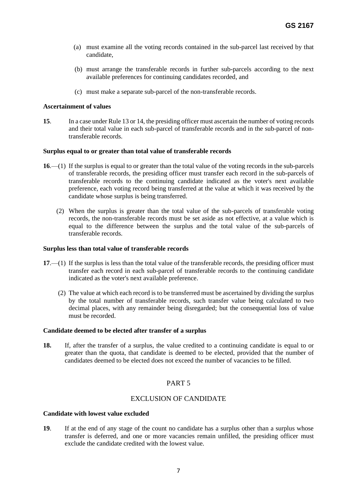- (a) must examine all the voting records contained in the sub-parcel last received by that candidate,
- (b) must arrange the transferable records in further sub-parcels according to the next available preferences for continuing candidates recorded, and
- (c) must make a separate sub-parcel of the non-transferable records.

#### **Ascertainment of values**

**15**. In a case under Rule 13 or 14, the presiding officer must ascertain the number of voting records and their total value in each sub-parcel of transferable records and in the sub-parcel of nontransferable records.

#### **Surplus equal to or greater than total value of transferable records**

- **16**.—(1) If the surplus is equal to or greater than the total value of the voting records in the sub-parcels of transferable records, the presiding officer must transfer each record in the sub-parcels of transferable records to the continuing candidate indicated as the voter's next available preference, each voting record being transferred at the value at which it was received by the candidate whose surplus is being transferred.
	- (2) When the surplus is greater than the total value of the sub-parcels of transferable voting records, the non-transferable records must be set aside as not effective, at a value which is equal to the difference between the surplus and the total value of the sub-parcels of transferable records.

#### **Surplus less than total value of transferable records**

- **17**.—(1) If the surplus is less than the total value of the transferable records, the presiding officer must transfer each record in each sub-parcel of transferable records to the continuing candidate indicated as the voter's next available preference.
	- (2) The value at which each record is to be transferred must be ascertained by dividing the surplus by the total number of transferable records, such transfer value being calculated to two decimal places, with any remainder being disregarded; but the consequential loss of value must be recorded.

#### **Candidate deemed to be elected after transfer of a surplus**

**18.** If, after the transfer of a surplus, the value credited to a continuing candidate is equal to or greater than the quota, that candidate is deemed to be elected, provided that the number of candidates deemed to be elected does not exceed the number of vacancies to be filled.

## PART 5

## EXCLUSION OF CANDIDATE

### **Candidate with lowest value excluded**

**19**. If at the end of any stage of the count no candidate has a surplus other than a surplus whose transfer is deferred, and one or more vacancies remain unfilled, the presiding officer must exclude the candidate credited with the lowest value.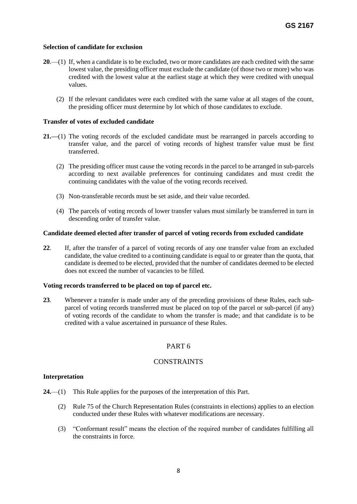### **Selection of candidate for exclusion**

- **20**.—(1) If, when a candidate is to be excluded, two or more candidates are each credited with the same lowest value, the presiding officer must exclude the candidate (of those two or more) who was credited with the lowest value at the earliest stage at which they were credited with unequal values.
	- (2) If the relevant candidates were each credited with the same value at all stages of the count, the presiding officer must determine by lot which of those candidates to exclude.

### **Transfer of votes of excluded candidate**

- **21.—**(1) The voting records of the excluded candidate must be rearranged in parcels according to transfer value, and the parcel of voting records of highest transfer value must be first transferred.
	- (2) The presiding officer must cause the voting records in the parcel to be arranged in sub-parcels according to next available preferences for continuing candidates and must credit the continuing candidates with the value of the voting records received.
	- (3) Non-transferable records must be set aside, and their value recorded.
	- (4) The parcels of voting records of lower transfer values must similarly be transferred in turn in descending order of transfer value.

### **Candidate deemed elected after transfer of parcel of voting records from excluded candidate**

**22**. If, after the transfer of a parcel of voting records of any one transfer value from an excluded candidate, the value credited to a continuing candidate is equal to or greater than the quota, that candidate is deemed to be elected, provided that the number of candidates deemed to be elected does not exceed the number of vacancies to be filled.

### **Voting records transferred to be placed on top of parcel etc.**

**23**. Whenever a transfer is made under any of the preceding provisions of these Rules, each subparcel of voting records transferred must be placed on top of the parcel or sub-parcel (if any) of voting records of the candidate to whom the transfer is made; and that candidate is to be credited with a value ascertained in pursuance of these Rules.

## PART 6

## CONSTRAINTS

### **Interpretation**

- **24.**—(1) This Rule applies for the purposes of the interpretation of this Part.
	- (2) Rule 75 of the Church Representation Rules (constraints in elections) applies to an election conducted under these Rules with whatever modifications are necessary.
	- (3) "Conformant result" means the election of the required number of candidates fulfilling all the constraints in force.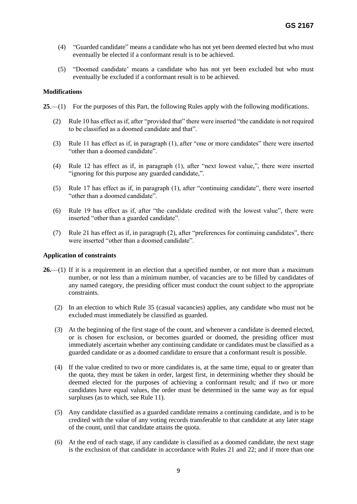- (4) "Guarded candidate" means a candidate who has not yet been deemed elected but who must eventually be elected if a conformant result is to be achieved.
- (5) "Doomed candidate' means a candidate who has not yet been excluded but who must eventually be excluded if a conformant result is to be achieved.

### **Modifications**

- **25**.—(1) For the purposes of this Part, the following Rules apply with the following modifications.
	- (2) Rule 10 has effect as if, after "provided that" there were inserted "the candidate is not required to be classified as a doomed candidate and that".
	- (3) Rule 11 has effect as if, in paragraph (1), after "one or more candidates" there were inserted "other than a doomed candidate".
	- (4) Rule 12 has effect as if, in paragraph (1), after "next lowest value,", there were inserted "ignoring for this purpose any guarded candidate,".
	- (5) Rule 17 has effect as if, in paragraph (1), after "continuing candidate", there were inserted "other than a doomed candidate".
	- (6) Rule 19 has effect as if, after "the candidate credited with the lowest value", there were inserted "other than a guarded candidate".
	- (7) Rule 21 has effect as if, in paragraph (2), after "preferences for continuing candidates", there were inserted "other than a doomed candidate".

#### **Application of constraints**

- **26.**—(1) If it is a requirement in an election that a specified number, or not more than a maximum number, or not less than a minimum number, of vacancies are to be filled by candidates of any named category, the presiding officer must conduct the count subject to the appropriate constraints.
	- (2) In an election to which Rule 35 (casual vacancies) applies, any candidate who must not be excluded must immediately be classified as guarded.
	- (3) At the beginning of the first stage of the count, and whenever a candidate is deemed elected, or is chosen for exclusion, or becomes guarded or doomed, the presiding officer must immediately ascertain whether any continuing candidate or candidates must be classified as a guarded candidate or as a doomed candidate to ensure that a conformant result is possible.
	- (4) If the value credited to two or more candidates is, at the same time, equal to or greater than the quota, they must be taken in order, largest first, in determining whether they should be deemed elected for the purposes of achieving a conformant result; and if two or more candidates have equal values, the order must be determined in the same way as for equal surpluses (as to which, see Rule 11).
	- (5) Any candidate classified as a guarded candidate remains a continuing candidate, and is to be credited with the value of any voting records transferable to that candidate at any later stage of the count, until that candidate attains the quota.
	- (6) At the end of each stage, if any candidate is classified as a doomed candidate, the next stage is the exclusion of that candidate in accordance with Rules 21 and 22; and if more than one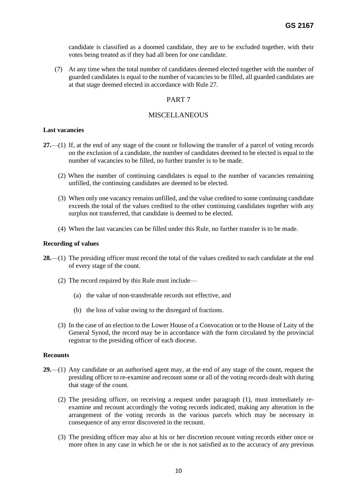candidate is classified as a doomed candidate, they are to be excluded together, with their votes being treated as if they had all been for one candidate.

 (7) At any time when the total number of candidates deemed elected together with the number of guarded candidates is equal to the number of vacancies to be filled, all guarded candidates are at that stage deemed elected in accordance with Rule 27.

## PART 7

## **MISCELLANEOUS**

### **Last vacancies**

- **27.**—(1) If, at the end of any stage of the count or following the transfer of a parcel of voting records on the exclusion of a candidate, the number of candidates deemed to be elected is equal to the number of vacancies to be filled, no further transfer is to be made.
	- (2) When the number of continuing candidates is equal to the number of vacancies remaining unfilled, the continuing candidates are deemed to be elected.
	- (3) When only one vacancy remains unfilled, and the value credited to some continuing candidate exceeds the total of the values credited to the other continuing candidates together with any surplus not transferred, that candidate is deemed to be elected.
	- (4) When the last vacancies can be filled under this Rule, no further transfer is to be made.

#### **Recording of values**

- **28.**—(1) The presiding officer must record the total of the values credited to each candidate at the end of every stage of the count.
	- (2) The record required by this Rule must include—
		- (a) the value of non-transferable records not effective, and
		- (b) the loss of value owing to the disregard of fractions.
	- (3) In the case of an election to the Lower House of a Convocation or to the House of Laity of the General Synod, the record may be in accordance with the form circulated by the provincial registrar to the presiding officer of each diocese.

#### **Recounts**

- **29.**—(1) Any candidate or an authorised agent may, at the end of any stage of the count, request the presiding officer to re-examine and recount some or all of the voting records dealt with during that stage of the count.
	- (2) The presiding officer, on receiving a request under paragraph (1), must immediately reexamine and recount accordingly the voting records indicated, making any alteration in the arrangement of the voting records in the various parcels which may be necessary in consequence of any error discovered in the recount.
	- (3) The presiding officer may also at his or her discretion recount voting records either once or more often in any case in which he or she is not satisfied as to the accuracy of any previous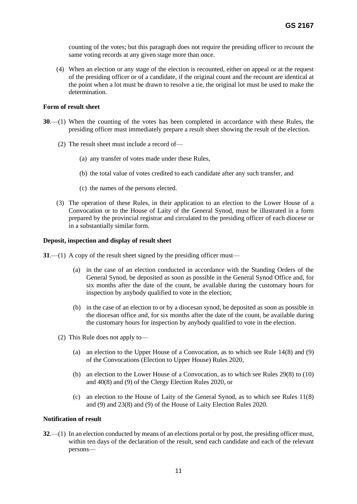counting of the votes; but this paragraph does not require the presiding officer to recount the same voting records at any given stage more than once.

 (4) When an election or any stage of the election is recounted, either on appeal or at the request of the presiding officer or of a candidate, if the original count and the recount are identical at the point when a lot must be drawn to resolve a tie, the original lot must be used to make the determination.

#### **Form of result sheet**

- **30**.—(1) When the counting of the votes has been completed in accordance with these Rules, the presiding officer must immediately prepare a result sheet showing the result of the election.
	- (2) The result sheet must include a record of—
		- (a) any transfer of votes made under these Rules,
		- (b) the total value of votes credited to each candidate after any such transfer, and
		- (c) the names of the persons elected.
	- (3) The operation of these Rules, in their application to an election to the Lower House of a Convocation or to the House of Laity of the General Synod, must be illustrated in a form prepared by the provincial registrar and circulated to the presiding officer of each diocese or in a substantially similar form.

#### **Deposit, inspection and display of result sheet**

**31**.—(1) A copy of the result sheet signed by the presiding officer must—

- (a) in the case of an election conducted in accordance with the Standing Orders of the General Synod, be deposited as soon as possible in the General Synod Office and, for six months after the date of the count, be available during the customary hours for inspection by anybody qualified to vote in the election;
- (b) in the case of an election to or by a diocesan synod, be deposited as soon as possible in the diocesan office and, for six months after the date of the count, be available during the customary hours for inspection by anybody qualified to vote in the election.
- (2) This Rule does not apply to—
	- (a) an election to the Upper House of a Convocation, as to which see Rule 14(8) and (9) of the Convocations (Election to Upper House) Rules 2020,
	- (b) an election to the Lower House of a Convocation, as to which see Rules 29(8) to (10) and 40(8) and (9) of the Clergy Election Rules 2020, or
	- (c) an election to the House of Laity of the General Synod, as to which see Rules 11(8) and (9) and 23(8) and (9) of the House of Laity Election Rules 2020.

#### **Notification of result**

**32**.—(1) In an election conducted by means of an elections portal or by post, the presiding officer must, within ten days of the declaration of the result, send each candidate and each of the relevant persons—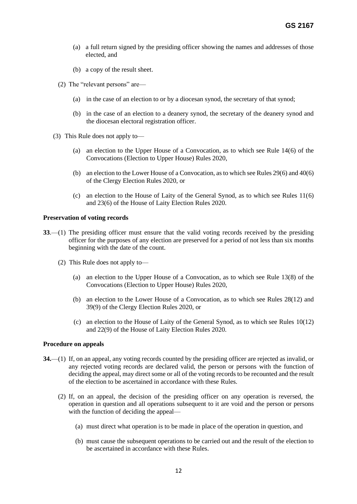- (a) a full return signed by the presiding officer showing the names and addresses of those elected, and
- (b) a copy of the result sheet.
- (2) The "relevant persons" are—
	- (a) in the case of an election to or by a diocesan synod, the secretary of that synod;
	- (b) in the case of an election to a deanery synod, the secretary of the deanery synod and the diocesan electoral registration officer.
- (3) This Rule does not apply to—
	- (a) an election to the Upper House of a Convocation, as to which see Rule 14(6) of the Convocations (Election to Upper House) Rules 2020,
	- (b) an election to the Lower House of a Convocation, as to which see Rules 29(6) and 40(6) of the Clergy Election Rules 2020, or
	- (c) an election to the House of Laity of the General Synod, as to which see Rules 11(6) and 23(6) of the House of Laity Election Rules 2020.

#### **Preservation of voting records**

- **33**.—(1) The presiding officer must ensure that the valid voting records received by the presiding officer for the purposes of any election are preserved for a period of not less than six months beginning with the date of the count.
	- (2) This Rule does not apply to—
		- (a) an election to the Upper House of a Convocation, as to which see Rule 13(8) of the Convocations (Election to Upper House) Rules 2020,
		- (b) an election to the Lower House of a Convocation, as to which see Rules 28(12) and 39(9) of the Clergy Election Rules 2020, or
		- (c) an election to the House of Laity of the General Synod, as to which see Rules 10(12) and 22(9) of the House of Laity Election Rules 2020.

#### **Procedure on appeals**

- **34.**—(1) If, on an appeal, any voting records counted by the presiding officer are rejected as invalid, or any rejected voting records are declared valid, the person or persons with the function of deciding the appeal, may direct some or all of the voting records to be recounted and the result of the election to be ascertained in accordance with these Rules.
	- (2) If, on an appeal, the decision of the presiding officer on any operation is reversed, the operation in question and all operations subsequent to it are void and the person or persons with the function of deciding the appeal—
		- (a) must direct what operation is to be made in place of the operation in question, and
		- (b) must cause the subsequent operations to be carried out and the result of the election to be ascertained in accordance with these Rules.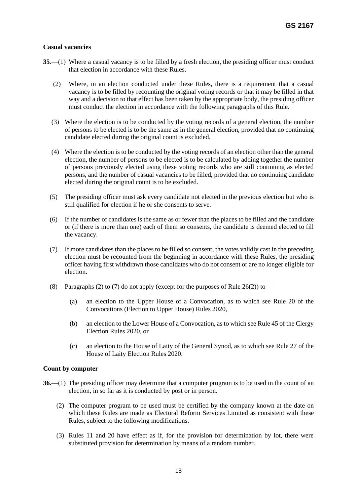## **Casual vacancies**

- **35**.—(1) Where a casual vacancy is to be filled by a fresh election, the presiding officer must conduct that election in accordance with these Rules.
	- (2) Where, in an election conducted under these Rules, there is a requirement that a casual vacancy is to be filled by recounting the original voting records or that it may be filled in that way and a decision to that effect has been taken by the appropriate body, the presiding officer must conduct the election in accordance with the following paragraphs of this Rule.
	- (3) Where the election is to be conducted by the voting records of a general election, the number of persons to be elected is to be the same as in the general election, provided that no continuing candidate elected during the original count is excluded.
	- (4) Where the election is to be conducted by the voting records of an election other than the general election, the number of persons to be elected is to be calculated by adding together the number of persons previously elected using these voting records who are still continuing as elected persons, and the number of casual vacancies to be filled, provided that no continuing candidate elected during the original count is to be excluded.
	- (5) The presiding officer must ask every candidate not elected in the previous election but who is still qualified for election if he or she consents to serve.
	- (6) If the number of candidates is the same as or fewer than the places to be filled and the candidate or (if there is more than one) each of them so consents, the candidate is deemed elected to fill the vacancy.
	- (7) If more candidates than the places to be filled so consent, the votes validly cast in the preceding election must be recounted from the beginning in accordance with these Rules, the presiding officer having first withdrawn those candidates who do not consent or are no longer eligible for election.
	- (8) Paragraphs (2) to (7) do not apply (except for the purposes of Rule 26(2)) to—
		- (a) an election to the Upper House of a Convocation, as to which see Rule 20 of the Convocations (Election to Upper House) Rules 2020,
		- (b) an election to the Lower House of a Convocation, as to which see Rule 45 of the Clergy Election Rules 2020, or
		- (c) an election to the House of Laity of the General Synod, as to which see Rule 27 of the House of Laity Election Rules 2020.

### **Count by computer**

- **36.**—(1) The presiding officer may determine that a computer program is to be used in the count of an election, in so far as it is conducted by post or in person.
	- (2) The computer program to be used must be certified by the company known at the date on which these Rules are made as Electoral Reform Services Limited as consistent with these Rules, subject to the following modifications.
	- (3) Rules 11 and 20 have effect as if, for the provision for determination by lot, there were substituted provision for determination by means of a random number.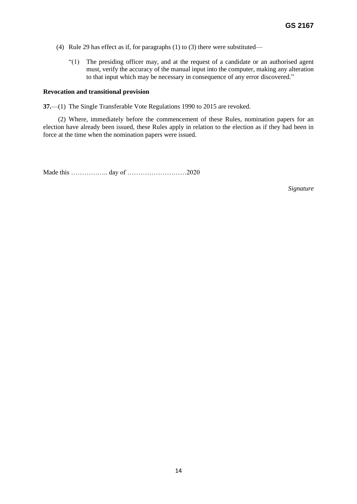- (4) Rule 29 has effect as if, for paragraphs (1) to (3) there were substituted—
	- "(1) The presiding officer may, and at the request of a candidate or an authorised agent must, verify the accuracy of the manual input into the computer, making any alteration to that input which may be necessary in consequence of any error discovered."

#### **Revocation and transitional provision**

**37.**—(1) The Single Transferable Vote Regulations 1990 to 2015 are revoked.

 (2) Where, immediately before the commencement of these Rules, nomination papers for an election have already been issued, these Rules apply in relation to the election as if they had been in force at the time when the nomination papers were issued.

Made this …………….. day of ………………………2020

*Signature*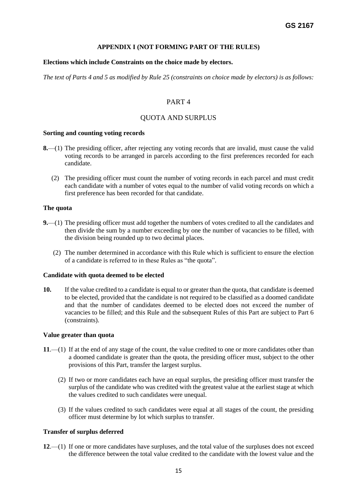### **APPENDIX I (NOT FORMING PART OF THE RULES)**

### **Elections which include Constraints on the choice made by electors.**

*The text of Parts 4 and 5 as modified by Rule 25 (constraints on choice made by electors) is as follows:*

## PART 4

## QUOTA AND SURPLUS

#### **Sorting and counting voting records**

- **8.**—(1) The presiding officer, after rejecting any voting records that are invalid, must cause the valid voting records to be arranged in parcels according to the first preferences recorded for each candidate.
	- (2) The presiding officer must count the number of voting records in each parcel and must credit each candidate with a number of votes equal to the number of valid voting records on which a first preference has been recorded for that candidate.

#### **The quota**

- **9.**—(1) The presiding officer must add together the numbers of votes credited to all the candidates and then divide the sum by a number exceeding by one the number of vacancies to be filled, with the division being rounded up to two decimal places.
	- (2) The number determined in accordance with this Rule which is sufficient to ensure the election of a candidate is referred to in these Rules as "the quota".

#### **Candidate with quota deemed to be elected**

**10.** If the value credited to a candidate is equal to or greater than the quota, that candidate is deemed to be elected, provided that the candidate is not required to be classified as a doomed candidate and that the number of candidates deemed to be elected does not exceed the number of vacancies to be filled; and this Rule and the subsequent Rules of this Part are subject to Part 6 (constraints).

#### **Value greater than quota**

- **11**.—(1) If at the end of any stage of the count, the value credited to one or more candidates other than a doomed candidate is greater than the quota, the presiding officer must, subject to the other provisions of this Part, transfer the largest surplus.
	- (2) If two or more candidates each have an equal surplus, the presiding officer must transfer the surplus of the candidate who was credited with the greatest value at the earliest stage at which the values credited to such candidates were unequal.
	- (3) If the values credited to such candidates were equal at all stages of the count, the presiding officer must determine by lot which surplus to transfer.

### **Transfer of surplus deferred**

**12**.—(1) If one or more candidates have surpluses, and the total value of the surpluses does not exceed the difference between the total value credited to the candidate with the lowest value and the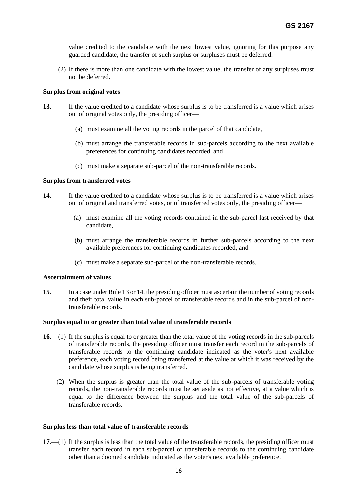value credited to the candidate with the next lowest value, ignoring for this purpose any guarded candidate, the transfer of such surplus or surpluses must be deferred.

(2) If there is more than one candidate with the lowest value, the transfer of any surpluses must not be deferred.

#### **Surplus from original votes**

- **13**. If the value credited to a candidate whose surplus is to be transferred is a value which arises out of original votes only, the presiding officer—
	- (a) must examine all the voting records in the parcel of that candidate,
	- (b) must arrange the transferable records in sub-parcels according to the next available preferences for continuing candidates recorded, and
	- (c) must make a separate sub-parcel of the non-transferable records.

#### **Surplus from transferred votes**

- **14**. If the value credited to a candidate whose surplus is to be transferred is a value which arises out of original and transferred votes, or of transferred votes only, the presiding officer—
	- (a) must examine all the voting records contained in the sub-parcel last received by that candidate,
	- (b) must arrange the transferable records in further sub-parcels according to the next available preferences for continuing candidates recorded, and
	- (c) must make a separate sub-parcel of the non-transferable records.

#### **Ascertainment of values**

**15**. In a case under Rule 13 or 14, the presiding officer must ascertain the number of voting records and their total value in each sub-parcel of transferable records and in the sub-parcel of nontransferable records.

#### **Surplus equal to or greater than total value of transferable records**

- **16**.—(1) If the surplus is equal to or greater than the total value of the voting records in the sub-parcels of transferable records, the presiding officer must transfer each record in the sub-parcels of transferable records to the continuing candidate indicated as the voter's next available preference, each voting record being transferred at the value at which it was received by the candidate whose surplus is being transferred.
	- (2) When the surplus is greater than the total value of the sub-parcels of transferable voting records, the non-transferable records must be set aside as not effective, at a value which is equal to the difference between the surplus and the total value of the sub-parcels of transferable records.

#### **Surplus less than total value of transferable records**

**17**.—(1) If the surplus is less than the total value of the transferable records, the presiding officer must transfer each record in each sub-parcel of transferable records to the continuing candidate other than a doomed candidate indicated as the voter's next available preference.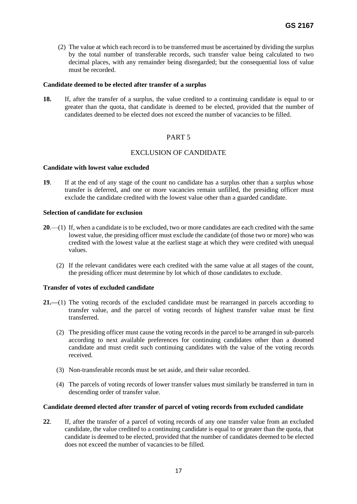(2) The value at which each record is to be transferred must be ascertained by dividing the surplus by the total number of transferable records, such transfer value being calculated to two decimal places, with any remainder being disregarded; but the consequential loss of value must be recorded.

#### **Candidate deemed to be elected after transfer of a surplus**

**18.** If, after the transfer of a surplus, the value credited to a continuing candidate is equal to or greater than the quota, that candidate is deemed to be elected, provided that the number of candidates deemed to be elected does not exceed the number of vacancies to be filled.

## PART 5

## EXCLUSION OF CANDIDATE

#### **Candidate with lowest value excluded**

**19**. If at the end of any stage of the count no candidate has a surplus other than a surplus whose transfer is deferred, and one or more vacancies remain unfilled, the presiding officer must exclude the candidate credited with the lowest value other than a guarded candidate.

#### **Selection of candidate for exclusion**

- **20**.—(1) If, when a candidate is to be excluded, two or more candidates are each credited with the same lowest value, the presiding officer must exclude the candidate (of those two or more) who was credited with the lowest value at the earliest stage at which they were credited with unequal values.
	- (2) If the relevant candidates were each credited with the same value at all stages of the count, the presiding officer must determine by lot which of those candidates to exclude.

### **Transfer of votes of excluded candidate**

- **21.—**(1) The voting records of the excluded candidate must be rearranged in parcels according to transfer value, and the parcel of voting records of highest transfer value must be first transferred.
	- (2) The presiding officer must cause the voting records in the parcel to be arranged in sub-parcels according to next available preferences for continuing candidates other than a doomed candidate and must credit such continuing candidates with the value of the voting records received.
	- (3) Non-transferable records must be set aside, and their value recorded.
	- (4) The parcels of voting records of lower transfer values must similarly be transferred in turn in descending order of transfer value.

### **Candidate deemed elected after transfer of parcel of voting records from excluded candidate**

**22**. If, after the transfer of a parcel of voting records of any one transfer value from an excluded candidate, the value credited to a continuing candidate is equal to or greater than the quota, that candidate is deemed to be elected, provided that the number of candidates deemed to be elected does not exceed the number of vacancies to be filled.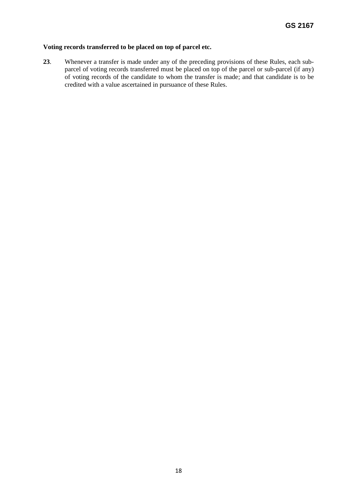## **Voting records transferred to be placed on top of parcel etc.**

**23**. Whenever a transfer is made under any of the preceding provisions of these Rules, each subparcel of voting records transferred must be placed on top of the parcel or sub-parcel (if any) of voting records of the candidate to whom the transfer is made; and that candidate is to be credited with a value ascertained in pursuance of these Rules.